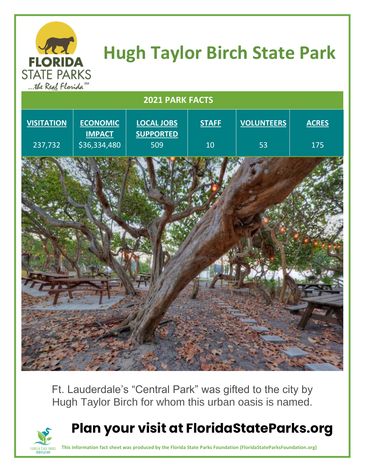

## **Hugh Taylor Birch State Park**

| the Keal Flanda   |                                  |                                       |              |                   |              |
|-------------------|----------------------------------|---------------------------------------|--------------|-------------------|--------------|
| 2021 PARK FACTS   |                                  |                                       |              |                   |              |
| <b>VISITATION</b> | <b>ECONOMIC</b><br><b>IMPACT</b> | <b>LOCAL JOBS</b><br><b>SUPPORTED</b> | <b>STAFF</b> | <b>VOLUNTEERS</b> | <b>ACRES</b> |
| 237,732           | \$36,334,480                     | 509                                   | 10           | 53                | 175          |
|                   |                                  |                                       |              |                   |              |
|                   |                                  |                                       |              |                   |              |

Ft. Lauderdale's "Central Park" was gifted to the city by Hugh Taylor Birch for whom this urban oasis is named.



## **Plan your visit at FloridaStateParks.org**

**This information fact sheet was produced by the Florida State Parks Foundation (FloridaStateParksFoundation.org)**